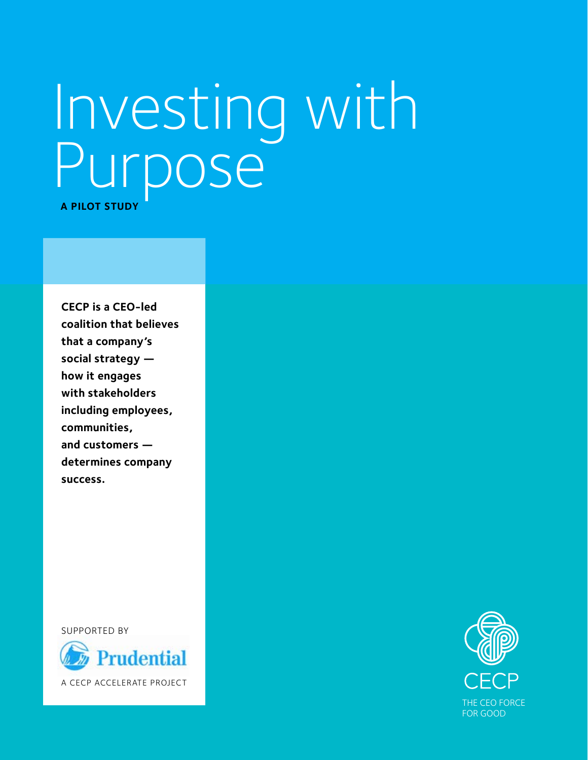# Investing with Purpose<sup>®</sup> **A PILOT STUDY**

**CECP is a CEO-led coalition that believes that a company's social strategy how it engages with stakeholders including employees, communities, and customers determines company success.** 

SUPPORTED BY



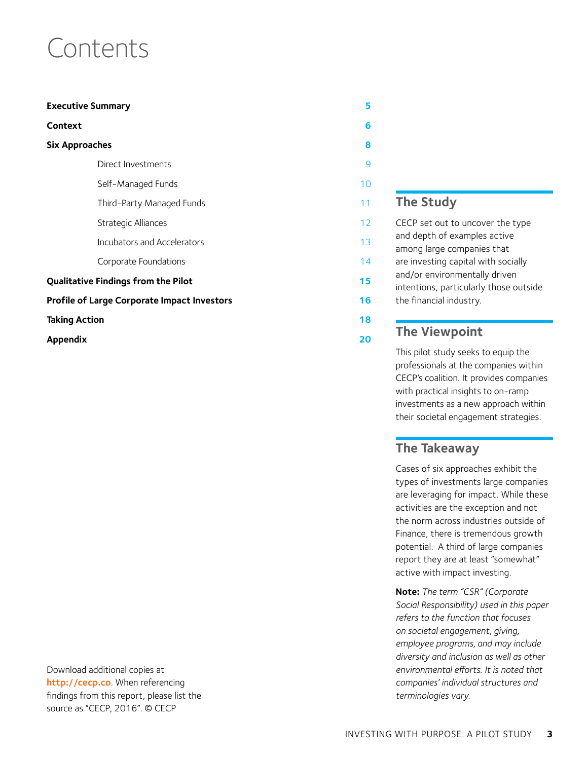### Contents

| <b>Executive Summary</b>                           | 5  |
|----------------------------------------------------|----|
| Context                                            | 6  |
| <b>Six Approaches</b>                              | 8  |
| Direct Investments                                 | 9  |
| Self-Managed Funds                                 | 10 |
| Third-Party Managed Funds                          | 11 |
| Strategic Alliances                                | 12 |
| Incubators and Accelerators                        | 13 |
| Corporate Foundations                              | 14 |
| <b>Qualitative Findings from the Pilot</b>         | 15 |
| <b>Profile of Large Corporate Impact Investors</b> | 16 |
| <b>Taking Action</b>                               | 18 |
| Appendix                                           | 20 |

Download additional copies at **<http://cecp.co>**. When referencing findings from this report, please list the source as "CECP, 2016". © CECP

### **The Study**

CECP set out to uncover the type and depth of examples active among large companies that are investing capital with socially and/or environmentally driven intentions, particularly those outside the financial industry.

#### **The Viewpoint**

This pilot study seeks to equip the professionals at the companies within CECP's coalition. It provides companies with practical insights to on-ramp investments as a new approach within their societal engagement strategies.

#### **The Takeaway**

Cases of six approaches exhibit the types of investments large companies are leveraging for impact. While these activities are the exception and not the norm across industries outside of Finance, there is tremendous growth potential. A third of large companies report they are at least "somewhat" active with impact investing.

**Note:** *The term "CSR" (Corporate Social Responsibility) used in this paper refers to the function that focuses on societal engagement, giving, employee programs, and may include diversity and inclusion as well as other environmental efforts. It is noted that companies' individual structures and terminologies vary.*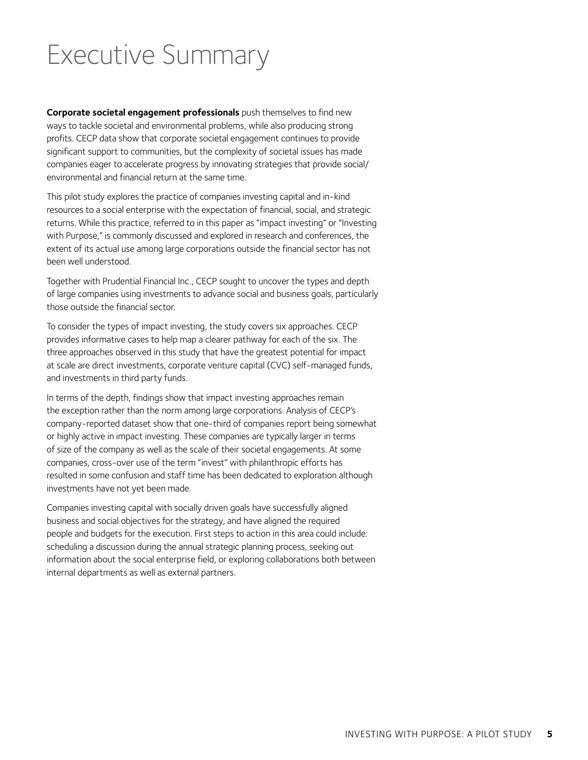### <span id="page-4-0"></span>Executive Summary

**Corporate societal engagement professionals** push themselves to find new ways to tackle societal and environmental problems, while also producing strong profits. CECP data show that corporate societal engagement continues to provide significant support to communities, but the complexity of societal issues has made companies eager to accelerate progress by innovating strategies that provide social/ environmental and financial return at the same time.

This pilot study explores the practice of companies investing capital and in-kind resources to a social enterprise with the expectation of financial, social, and strategic returns. While this practice, referred to in this paper as "impact investing" or "Investing with Purpose," is commonly discussed and explored in research and conferences, the extent of its actual use among large corporations outside the financial sector has not been well understood.

Together with Prudential Financial Inc., CECP sought to uncover the types and depth of large companies using investments to advance social and business goals, particularly those outside the financial sector.

To consider the types of impact investing, the study covers six approaches. CECP provides informative cases to help map a clearer pathway for each of the six. The three approaches observed in this study that have the greatest potential for impact at scale are direct investments, corporate venture capital (CVC) self-managed funds, and investments in third party funds.

In terms of the depth, findings show that impact investing approaches remain the exception rather than the norm among large corporations. Analysis of CECP's company-reported dataset show that one-third of companies report being somewhat or highly active in impact investing. These companies are typically larger in terms of size of the company as well as the scale of their societal engagements. At some companies, cross-over use of the term "invest" with philanthropic efforts has resulted in some confusion and staff time has been dedicated to exploration although investments have not yet been made.

Companies investing capital with socially driven goals have successfully aligned business and social objectives for the strategy, and have aligned the required people and budgets for the execution. First steps to action in this area could include: scheduling a discussion during the annual strategic planning process, seeking out information about the social enterprise field, or exploring collaborations both between internal departments as well as external partners.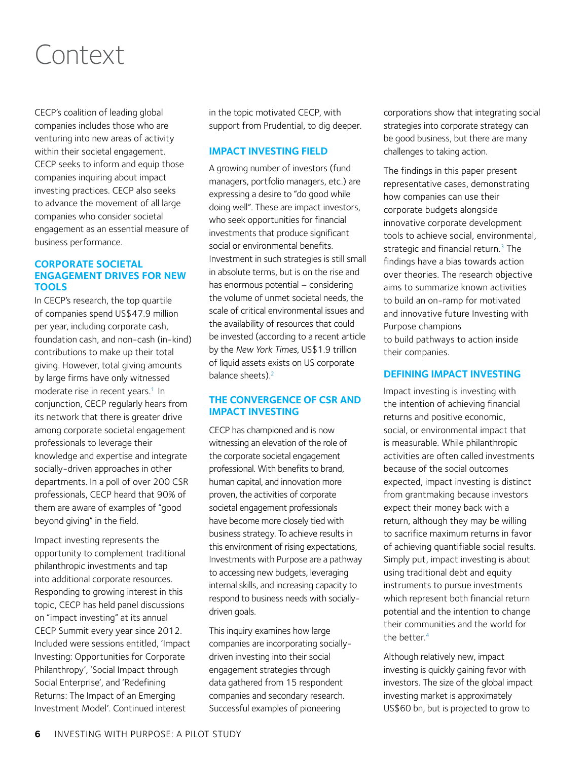### <span id="page-5-0"></span>Context

CECP's coalition of leading global companies includes those who are venturing into new areas of activity within their societal engagement. CECP seeks to inform and equip those companies inquiring about impact investing practices. CECP also seeks to advance the movement of all large companies who consider societal engagement as an essential measure of business performance.

#### **CORPORATE SOCIETAL ENGAGEMENT DRIVES FOR NEW TOOLS**

In CECP's research, the top quartile of companies spend US\$47.9 million per year, including corporate cash, foundation cash, and non-cash (in-kind) contributions to make up their total giving. However, total giving amounts by large firms have only witnessed moderate rise in recent years.<sup>1</sup> In conjunction, CECP regularly hears from its network that there is greater drive among corporate societal engagement professionals to leverage their knowledge and expertise and integrate socially-driven approaches in other departments. In a poll of over 200 CSR professionals, CECP heard that 90% of them are aware of examples of "good beyond giving" in the field.

Impact investing represents the opportunity to complement traditional philanthropic investments and tap into additional corporate resources. Responding to growing interest in this topic, CECP has held panel discussions on "impact investing" at its annual CECP Summit every year since 2012. Included were sessions entitled, 'Impact Investing: Opportunities for Corporate Philanthropy', 'Social Impact through Social Enterprise', and 'Redefining Returns: The Impact of an Emerging Investment Model'. Continued interest

in the topic motivated CECP, with support from Prudential, to dig deeper.

#### **IMPACT INVESTING FIELD**

A growing number of investors (fund managers, portfolio managers, etc.) are expressing a desire to "do good while doing well". These are impact investors, who seek opportunities for financial investments that produce significant social or environmental benefits. Investment in such strategies is still small in absolute terms, but is on the rise and has enormous potential – considering the volume of unmet societal needs, the scale of critical environmental issues and the availability of resources that could be invested (according to a recent article by the *New York Times*, US\$1.9 trillion of liquid assets exists on US corporate balance sheets).<sup>2</sup>

#### **THE CONVERGENCE OF CSR AND IMPACT INVESTING**

CECP has championed and is now witnessing an elevation of the role of the corporate societal engagement professional. With benefits to brand, human capital, and innovation more proven, the activities of corporate societal engagement professionals have become more closely tied with business strategy. To achieve results in this environment of rising expectations, Investments with Purpose are a pathway to accessing new budgets, leveraging internal skills, and increasing capacity to respond to business needs with sociallydriven goals.

This inquiry examines how large companies are incorporating sociallydriven investing into their social engagement strategies through data gathered from 15 respondent companies and secondary research. Successful examples of pioneering

corporations show that integrating social strategies into corporate strategy can be good business, but there are many challenges to taking action.

The findings in this paper present representative cases, demonstrating how companies can use their corporate budgets alongside innovative corporate development tools to achieve social, environmental, strategic and financial return. $3$  The findings have a bias towards action over theories. The research objective aims to summarize known activities to build an on-ramp for motivated and innovative future Investing with Purpose champions to build pathways to action inside their companies.

#### **DEFINING IMPACT INVESTING**

Impact investing is investing with the intention of achieving financial returns and positive economic, social, or environmental impact that is measurable. While philanthropic activities are often called investments because of the social outcomes expected, impact investing is distinct from grantmaking because investors expect their money back with a return, although they may be willing to sacrifice maximum returns in favor of achieving quantifiable social results. Simply put, impact investing is about using traditional debt and equity instruments to pursue investments which represent both financial return potential and the intention to change their communities and the world for the better.<sup>[4](#page-21-0)</sup>

Although relatively new, impact investing is quickly gaining favor with investors. The size of the global impact investing market is approximately US\$60 bn, but is projected to grow to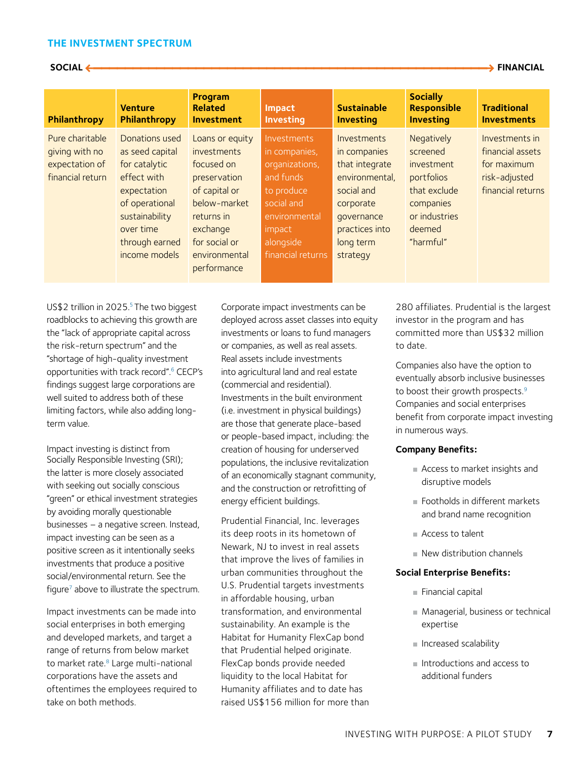#### **THE INVESTMENT SPECTRUM**

 **SOCIAL 7\_\_\_\_\_\_\_\_\_\_\_\_\_\_\_\_\_\_\_\_\_\_\_\_\_\_\_\_\_\_\_\_\_\_\_\_\_\_\_\_\_\_\_\_\_\_\_\_\_\_3 FINANCIAL**

| Philanthropy                       | <b>Venture</b><br>Philanthropy    | Program<br><b>Related</b><br><b>Investment</b> | Impact<br><b>Investing</b>          | <b>Sustainable</b><br><b>Investing</b>           | <b>Socially</b><br><b>Responsible</b><br><b>Investing</b> | <b>Traditional</b><br><b>Investments</b> |
|------------------------------------|-----------------------------------|------------------------------------------------|-------------------------------------|--------------------------------------------------|-----------------------------------------------------------|------------------------------------------|
| Pure charitable<br>giving with no  | Donations used<br>as seed capital | Loans or equity<br><i>investments</i>          | <b>Investments</b><br>in companies, | <i><u><b>Investments</b></u></i><br>in companies | Negatively<br>screened                                    | Investments in<br>financial assets       |
| expectation of<br>financial return | for catalytic<br>effect with      | focused on<br>preservation                     | organizations,<br>and funds         | that integrate<br>environmental,                 | investment<br>portfolios                                  | for maximum<br>risk-adjusted             |
|                                    | expectation<br>of operational     | of capital or<br>below-market                  | to produce<br>social and            | social and<br>corporate                          | that exclude<br>companies                                 | financial returns                        |
|                                    | sustainability<br>over time       | returns in<br>exchange                         | environmental<br>impact             | qovernance<br>practices into                     | or industries<br>deemed                                   |                                          |
|                                    | through earned<br>income models   | for social or<br>environmental                 | alongside<br>financial returns      | long term<br>strategy                            | "harmful"                                                 |                                          |
|                                    |                                   | performance                                    |                                     |                                                  |                                                           |                                          |

US\$2 trillion in 2025.<sup>5</sup> The two biggest roadblocks to achieving this growth are the "lack of appropriate capital across the risk-return spectrum" and the "shortage of high-quality investment opportunities with track record".<sup>6</sup> CECP's findings suggest large corporations are well suited to address both of these limiting factors, while also adding longterm value.

Impact investing is distinct from Socially Responsible Investing (SRI); the latter is more closely associated with seeking out socially conscious "green" or ethical investment strategies by avoiding morally questionable businesses – a negative screen. Instead, impact investing can be seen as a positive screen as it intentionally seeks investments that produce a positive social/environmental return. See the figure<sup>[7](#page-21-0)</sup> above to illustrate the spectrum.

Impact investments can be made into social enterprises in both emerging and developed markets, and target a range of returns from below market to market rate.<sup>8</sup> Large multi-national corporations have the assets and oftentimes the employees required to take on both methods.

Corporate impact investments can be deployed across asset classes into equity investments or loans to fund managers or companies, as well as real assets. Real assets include investments into agricultural land and real estate (commercial and residential). Investments in the built environment (i.e. investment in physical buildings) are those that generate place-based or people-based impact, including: the creation of housing for underserved populations, the inclusive revitalization of an economically stagnant community, and the construction or retrofitting of energy efficient buildings.

Prudential Financial, Inc. leverages its deep roots in its hometown of Newark, NJ to invest in real assets that improve the lives of families in urban communities throughout the U.S. Prudential targets investments in affordable housing, urban transformation, and environmental sustainability. An example is the Habitat for Humanity FlexCap bond that Prudential helped originate. FlexCap bonds provide needed liquidity to the local Habitat for Humanity affiliates and to date has raised US\$156 million for more than 280 affiliates. Prudential is the largest investor in the program and has committed more than US\$32 million to date.

Companies also have the option to eventually absorb inclusive businesses to boost their growth prospects.<sup>[9](#page-21-0)</sup> Companies and social enterprises benefit from corporate impact investing in numerous ways.

#### **Company Benefits:**

- Access to market insights and disruptive models
- Footholds in different markets and brand name recognition
- Access to talent
- New distribution channels

#### **Social Enterprise Benefits:**

- Financial capital
- Managerial, business or technical expertise
- Increased scalability
- Introductions and access to additional funders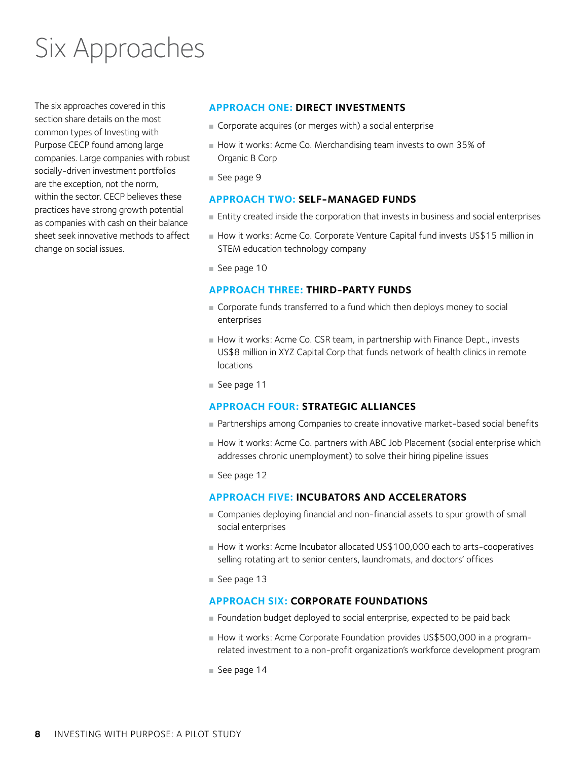### <span id="page-7-0"></span>Six Approaches

The six approaches covered in this section share details on the most common types of Investing with Purpose CECP found among large companies. Large companies with robust socially-driven investment portfolios are the exception, not the norm, within the sector. CECP believes these practices have strong growth potential as companies with cash on their balance sheet seek innovative methods to affect change on social issues.

#### **APPROACH ONE: DIRECT INVESTMENTS**

- Corporate acquires (or merges with) a social enterprise
- How it works: Acme Co. Merchandising team invests to own 35% of Organic B Corp
- [See page](#page-8-0) 9

#### **APPROACH TWO: SELF-MANAGED FUNDS**

- Entity created inside the corporation that invests in business and social enterprises
- How it works: Acme Co. Corporate Venture Capital fund invests US\$15 million in STEM education technology company
- [See page 1](#page-9-0)0

#### **APPROACH THREE: THIRD-PARTY FUNDS**

- Corporate funds transferred to a fund which then deploys money to social enterprises
- How it works: Acme Co. CSR team, in partnership with Finance Dept., invests US\$8 million in XYZ Capital Corp that funds network of health clinics in remote locations
- [See page 1](#page-10-0)1

#### **APPROACH FOUR: STRATEGIC ALLIANCES**

- Partnerships among Companies to create innovative market-based social benefits
- How it works: Acme Co. partners with ABC Job Placement (social enterprise which addresses chronic unemployment) to solve their hiring pipeline issues
- [See page 1](#page-11-0)2

#### **APPROACH FIVE: INCUBATORS AND ACCELERATORS**

- Companies deploying financial and non-financial assets to spur growth of small social enterprises
- How it works: Acme Incubator allocated US\$100,000 each to arts-cooperatives selling rotating art to senior centers, laundromats, and doctors' offices
- [See page 1](#page-12-0)3

#### **APPROACH SIX: CORPORATE FOUNDATIONS**

- Foundation budget deployed to social enterprise, expected to be paid back
- How it works: Acme Corporate Foundation provides US\$500,000 in a programrelated investment to a non-profit organization's workforce development program
- [See page 1](#page-13-0)4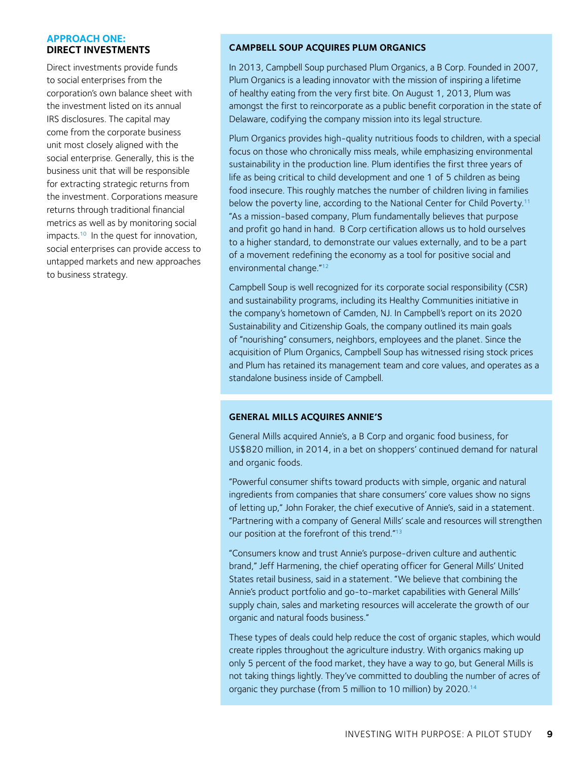#### <span id="page-8-0"></span>**APPROACH ONE: DIRECT INVESTMENTS**

Direct investments provide funds to social enterprises from the corporation's own balance sheet with the investment listed on its annual IRS disclosures. The capital may come from the corporate business unit most closely aligned with the social enterprise. Generally, this is the business unit that will be responsible for extracting strategic returns from the investment. Corporations measure returns through traditional financial metrics as well as by monitoring social impacts.<sup>10</sup> In the quest for innovation, social enterprises can provide access to untapped markets and new approaches to business strategy.

#### **CAMPBELL SOUP ACQUIRES PLUM ORGANICS**

In 2013, Campbell Soup purchased Plum Organics, a B Corp. Founded in 2007, Plum Organics is a leading innovator with the mission of inspiring a lifetime of healthy eating from the very first bite. On August 1, 2013, Plum was amongst the first to reincorporate as a public benefit corporation in the state of Delaware, codifying the company mission into its legal structure.

Plum Organics provides high-quality nutritious foods to children, with a special focus on those who chronically miss meals, while emphasizing environmental sustainability in the production line. Plum identifies the first three years of life as being critical to child development and one 1 of 5 children as being food insecure. This roughly matches the number of children living in families below the poverty line, according to the National Center for Child Poverty.<sup>[11](#page-21-0)</sup> "As a mission-based company, Plum fundamentally believes that purpose and profit go hand in hand. B Corp certification allows us to hold ourselves to a higher standard, to demonstrate our values externally, and to be a part of a movement redefining the economy as a tool for positive social and environmental change.["12](#page-21-0)

Campbell Soup is well recognized for its corporate social responsibility (CSR) and sustainability programs, including its Healthy Communities initiative in the company's hometown of Camden, NJ. In Campbell's report on its 2020 Sustainability and Citizenship Goals, the company outlined its main goals of "nourishing" consumers, neighbors, employees and the planet. Since the acquisition of Plum Organics, Campbell Soup has witnessed rising stock prices and Plum has retained its management team and core values, and operates as a standalone business inside of Campbell.

#### **GENERAL MILLS ACQUIRES ANNIE'S**

General Mills acquired Annie's, a B Corp and organic food business, for US\$820 million, in 2014, in a bet on shoppers' continued demand for natural and organic foods.

"Powerful consumer shifts toward products with simple, organic and natural ingredients from companies that share consumers' core values show no signs of letting up," John Foraker, the chief executive of Annie's, said in a statement. "Partnering with a company of General Mills' scale and resources will strengthen our position at the forefront of this trend."13

"Consumers know and trust Annie's purpose-driven culture and authentic brand," Jeff Harmening, the chief operating officer for General Mills' United States retail business, said in a statement. "We believe that combining the Annie's product portfolio and go-to-market capabilities with General Mills' supply chain, sales and marketing resources will accelerate the growth of our organic and natural foods business."

These types of deals could help reduce the cost of organic staples, which would create ripples throughout the agriculture industry. With organics making up only 5 percent of the food market, they have a way to go, but General Mills is not taking things lightly. They've committed to doubling the number of acres of organic they purchase (from 5 million to 10 million) by 2020.<sup>[14](#page-21-0)</sup>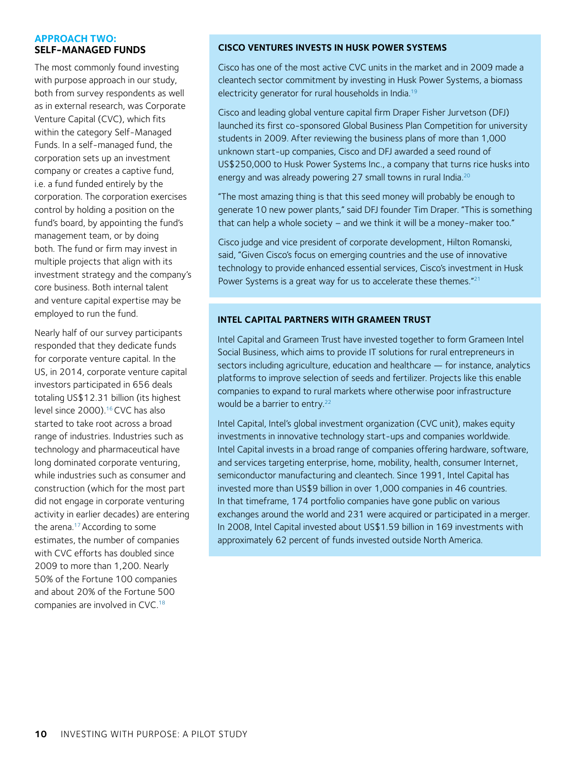#### <span id="page-9-0"></span>**APPROACH TWO: SELF-MANAGED FUNDS**

The most commonly found investing with purpose approach in our study, both from survey respondents as well as in external research, was Corporate Venture Capital (CVC), which fits within the category Self-Managed Funds. In a self-managed fund, the corporation sets up an investment company or creates a captive fund, i.e. a fund funded entirely by the corporation. The corporation exercises control by holding a position on the fund's board, by appointing the fund's management team, or by doing both. The fund or firm may invest in multiple projects that align with its investment strategy and the company's core business. Both internal talent and venture capital expertise may be employed to run the fund.

Nearly half of our survey participants responded that they dedicate funds for corporate venture capital. In the US, in 2014, corporate venture capital investors participated in 656 deals totaling US\$12.31 billion (its highest level since 2000).<sup>[16](#page-21-0)</sup> CVC has also started to take root across a broad range of industries. Industries such as technology and pharmaceutical have long dominated corporate venturing, while industries such as consumer and construction (which for the most part did not engage in corporate venturing activity in earlier decades) are entering the arena[.17 A](#page-21-0)ccording to some estimates, the number of companies with CVC efforts has doubled since 2009 to more than 1,200. Nearly 50% of the Fortune 100 companies and about 20% of the Fortune 500 companies are involved in CVC[.18](#page-21-0)

#### **CISCO VENTURES INVESTS IN HUSK POWER SYSTEMS**

Cisco has one of the most active CVC units in the market and in 2009 made a cleantech sector commitment by investing in Husk Power Systems, a biomass electricity generator for rural households in India.[19](#page-21-0)

Cisco and leading global venture capital firm Draper Fisher Jurvetson (DFJ) launched its first co-sponsored Global Business Plan Competition for university students in 2009. After reviewing the business plans of more than 1,000 unknown start-up companies, Cisco and DFJ awarded a seed round of US\$250,000 to Husk Power Systems Inc., a company that turns rice husks into energy and was already powering 27 small towns in rural India.<sup>[20](#page-21-0)</sup>

"The most amazing thing is that this seed money will probably be enough to generate 10 new power plants," said DFJ founder Tim Draper. "This is something that can help a whole society – and we think it will be a money-maker too."

Cisco judge and vice president of corporate development, Hilton Romanski, said, "Given Cisco's focus on emerging countries and the use of innovative technology to provide enhanced essential services, Cisco's investment in Husk Power Systems is a great way for us to accelerate these themes."<sup>[21](#page-21-0)</sup>

#### **INTEL CAPITAL PARTNERS WITH GRAMEEN TRUST**

Intel Capital and Grameen Trust have invested together to form Grameen Intel Social Business, which aims to provide IT solutions for rural entrepreneurs in sectors including agriculture, education and healthcare — for instance, analytics platforms to improve selection of seeds and fertilizer. Projects like this enable companies to expand to rural markets where otherwise poor infrastructure would be a barrier to entry.<sup>22</sup>

Intel Capital, Intel's global investment organization (CVC unit), makes equity investments in innovative technology start-ups and companies worldwide. Intel Capital invests in a broad range of companies offering hardware, software, and services targeting enterprise, home, mobility, health, consumer Internet, semiconductor manufacturing and cleantech. Since 1991, Intel Capital has invested more than US\$9 billion in over 1,000 companies in 46 countries. In that timeframe, 174 portfolio companies have gone public on various exchanges around the world and 231 were acquired or participated in a merger. In 2008, Intel Capital invested about US\$1.59 billion in 169 investments with approximately 62 percent of funds invested outside North America.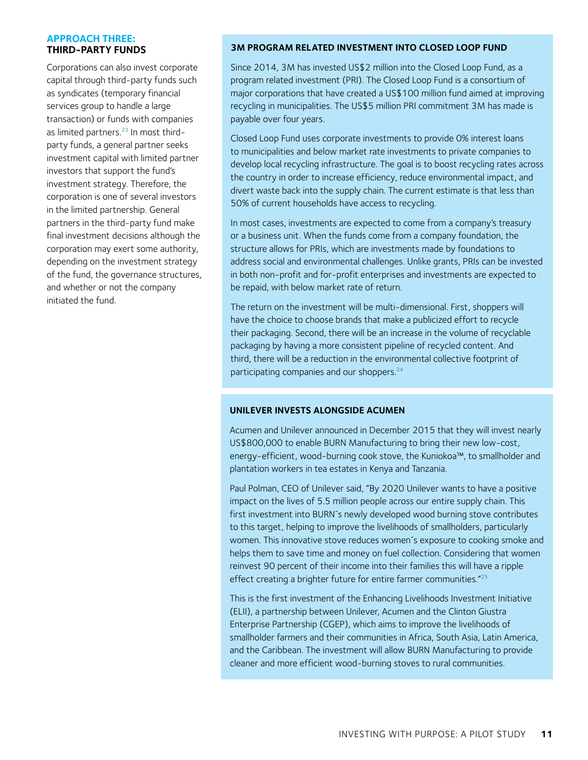#### <span id="page-10-0"></span>**APPROACH THREE: THIRD-PARTY FUNDS**

Corporations can also invest corporate capital through third-party funds such as syndicates (temporary financial services group to handle a large transaction) or funds with companies as limited partners.<sup>23</sup> In most thirdparty funds, a general partner seeks investment capital with limited partner investors that support the fund's investment strategy. Therefore, the corporation is one of several investors in the limited partnership. General partners in the third-party fund make final investment decisions although the corporation may exert some authority, depending on the investment strategy of the fund, the governance structures, and whether or not the company initiated the fund.

#### **3M PROGRAM RELATED INVESTMENT INTO CLOSED LOOP FUND**

Since 2014, 3M has invested US\$2 million into the Closed Loop Fund, as a program related investment (PRI). The Closed Loop Fund is a consortium of major corporations that have created a US\$100 million fund aimed at improving recycling in municipalities. The US\$5 million PRI commitment 3M has made is payable over four years.

Closed Loop Fund uses corporate investments to provide 0% interest loans to municipalities and below market rate investments to private companies to develop local recycling infrastructure. The goal is to boost recycling rates across the country in order to increase efficiency, reduce environmental impact, and divert waste back into the supply chain. The current estimate is that less than 50% of current households have access to recycling.

In most cases, investments are expected to come from a company's treasury or a business unit. When the funds come from a company foundation, the structure allows for PRIs, which are investments made by foundations to address social and environmental challenges. Unlike grants, PRIs can be invested in both non-profit and for-profit enterprises and investments are expected to be repaid, with below market rate of return.

The return on the investment will be multi-dimensional. First, shoppers will have the choice to choose brands that make a publicized effort to recycle their packaging. Second, there will be an increase in the volume of recyclable packaging by having a more consistent pipeline of recycled content. And third, there will be a reduction in the environmental collective footprint of participating companies and our shoppers.<sup>24</sup>

#### **UNILEVER INVESTS ALONGSIDE ACUMEN**

Acumen and Unilever announced in December 2015 that they will invest nearly US\$800,000 to enable BURN Manufacturing to bring their new low-cost, energy-efficient, wood-burning cook stove, the Kuniokoa™, to smallholder and plantation workers in tea estates in Kenya and Tanzania.

Paul Polman, CEO of Unilever said, "By 2020 Unilever wants to have a positive impact on the lives of 5.5 million people across our entire supply chain. This first investment into BURN´s newly developed wood burning stove contributes to this target, helping to improve the livelihoods of smallholders, particularly women. This innovative stove reduces women´s exposure to cooking smoke and helps them to save time and money on fuel collection. Considering that women reinvest 90 percent of their income into their families this will have a ripple effect creating a brighter future for entire farmer communities.["25](#page-21-0)

This is the first investment of the Enhancing Livelihoods Investment Initiative (ELII), a partnership between Unilever, Acumen and the Clinton Giustra Enterprise Partnership (CGEP), which aims to improve the livelihoods of smallholder farmers and their communities in Africa, South Asia, Latin America, and the Caribbean. The investment will allow BURN Manufacturing to provide cleaner and more efficient wood-burning stoves to rural communities.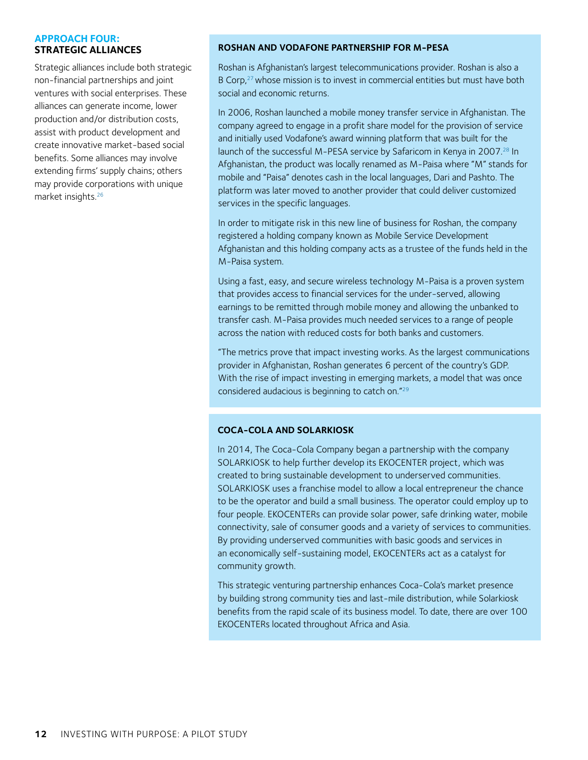#### <span id="page-11-0"></span>**APPROACH FOUR: STRATEGIC ALLIANCES**

Strategic alliances include both strategic non-financial partnerships and joint ventures with social enterprises. These alliances can generate income, lower production and/or distribution costs, assist with product development and create innovative market-based social benefits. Some alliances may involve extending firms' supply chains; others may provide corporations with unique market insights.[26](#page-21-0)

#### **ROSHAN AND VODAFONE PARTNERSHIP FOR M-PESA**

Roshan is Afghanistan's largest telecommunications provider. Roshan is also a B Corp,<sup>27</sup> whose mission is to invest in commercial entities but must have both social and economic returns.

In 2006, Roshan launched a mobile money transfer service in Afghanistan. The company agreed to engage in a profit share model for the provision of service and initially used Vodafone's award winning platform that was built for the launch of the successful M-PESA service by Safaricom in Kenya in 2007.<sup>28</sup> In Afghanistan, the product was locally renamed as M-Paisa where "M" stands for mobile and "Paisa" denotes cash in the local languages, Dari and Pashto. The platform was later moved to another provider that could deliver customized services in the specific languages.

In order to mitigate risk in this new line of business for Roshan, the company registered a holding company known as Mobile Service Development Afghanistan and this holding company acts as a trustee of the funds held in the M-Paisa system.

Using a fast, easy, and secure wireless technology M-Paisa is a proven system that provides access to financial services for the under-served, allowing earnings to be remitted through mobile money and allowing the unbanked to transfer cash. M-Paisa provides much needed services to a range of people across the nation with reduced costs for both banks and customers.

"The metrics prove that impact investing works. As the largest communications provider in Afghanistan, Roshan generates 6 percent of the country's GDP. With the rise of impact investing in emerging markets, a model that was once considered audacious is beginning to catch on.["29](#page-21-0)

#### **COCA-COLA AND SOLARKIOSK**

In 2014, The Coca-Cola Company began a partnership with the company SOLARKIOSK to help further develop its EKOCENTER project, which was created to bring sustainable development to underserved communities. SOLARKIOSK uses a franchise model to allow a local entrepreneur the chance to be the operator and build a small business. The operator could employ up to four people. EKOCENTERs can provide solar power, safe drinking water, mobile connectivity, sale of consumer goods and a variety of services to communities. By providing underserved communities with basic goods and services in an economically self-sustaining model, EKOCENTERs act as a catalyst for community growth.

This strategic venturing partnership enhances Coca-Cola's market presence by building strong community ties and last-mile distribution, while Solarkiosk benefits from the rapid scale of its business model. To date, there are over 100 EKOCENTERs located throughout Africa and Asia.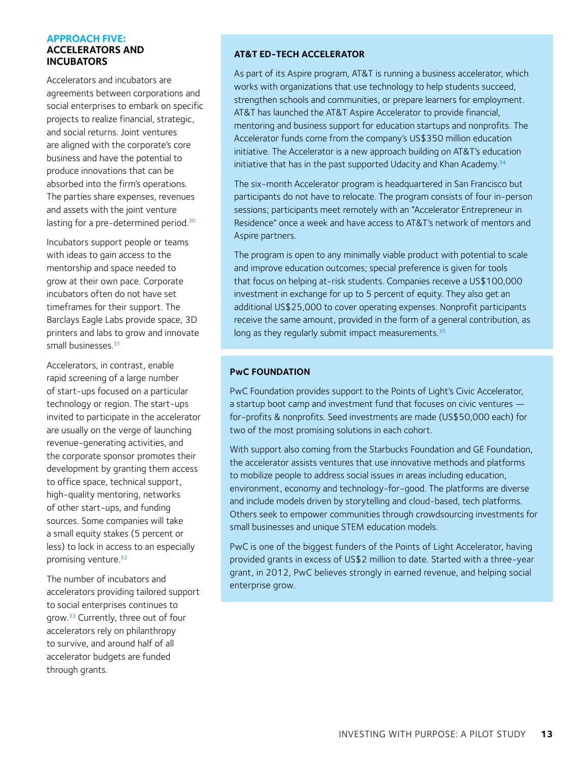#### <span id="page-12-0"></span>**APPROACH FIVE: ACCELERATORS AND INCUBATORS**

Accelerators and incubators are agreements between corporations and social enterprises to embark on specific projects to realize financial, strategic, and social returns. Joint ventures are aligned with the corporate's core business and have the potential to produce innovations that can be absorbed into the firm's operations. The parties share expenses, revenues and assets with the joint venture lasting for a pre-determined period.<sup>30</sup>

Incubators support people or teams with ideas to gain access to the mentorship and space needed to grow at their own pace. Corporate incubators often do not have set timeframes for their support. The Barclays Eagle Labs provide space, 3D printers and labs to grow and innovate small businesses<sup>31</sup>

Accelerators, in contrast, enable rapid screening of a large number of start-ups focused on a particular technology or region. The start-ups invited to participate in the accelerator are usually on the verge of launching revenue-generating activities, and the corporate sponsor promotes their development by granting them access to office space, technical support, high-quality mentoring, networks of other start-ups, and funding sources. Some companies will take a small equity stakes (5 percent or less) to lock in access to an especially promising venture.<sup>[3](#page-21-0)2</sup>

The number of incubators and accelerators providing tailored support to social enterprises continues to grow.[3](#page-21-0)3 Currently, three out of four accelerators rely on philanthropy to survive, and around half of all accelerator budgets are funded through grants.

#### **AT&T ED-TECH ACCELERATOR**

As part of its Aspire program, AT&T is running a business accelerator, which works with organizations that use technology to help students succeed, strengthen schools and communities, or prepare learners for employment. AT&T has launched the AT&T Aspire Accelerator to provide financial, mentoring and business support for education startups and nonprofits. The Accelerator funds come from the company's US\$350 million education initiative. The Accelerator is a new approach building on AT&T's education initiative that has in the past supported Udacity and Khan Academy.<sup>34</sup>

The six-month Accelerator program is headquartered in San Francisco but participants do not have to relocate. The program consists of four in-person sessions; participants meet remotely with an "Accelerator Entrepreneur in Residence" once a week and have access to AT&T's network of mentors and Aspire partners.

The program is open to any minimally viable product with potential to scale and improve education outcomes; special preference is given for tools that focus on helping at-risk students. Companies receive a US\$100,000 investment in exchange for up to 5 percent of equity. They also get an additional US\$25,000 to cover operating expenses. Nonprofit participants receive the same amount, provided in the form of a general contribution, as long as they regularly submit impact measurements.<sup>35</sup>

#### **PwC FOUNDATION**

PwC Foundation provides support to the Points of Light's Civic Accelerator, a startup boot camp and investment fund that focuses on civic ventures for-profits & nonprofits. Seed investments are made (US\$50,000 each) for two of the most promising solutions in each cohort.

With support also coming from the Starbucks Foundation and GE Foundation, the accelerator assists ventures that use innovative methods and platforms to mobilize people to address social issues in areas including education, environment, economy and technology-for-good. The platforms are diverse and include models driven by storytelling and cloud-based, tech platforms. Others seek to empower communities through crowdsourcing investments for small businesses and unique STEM education models.

PwC is one of the biggest funders of the Points of Light Accelerator, having provided grants in excess of US\$2 million to date. Started with a three-year grant, in 2012, PwC believes strongly in earned revenue, and helping social enterprise grow.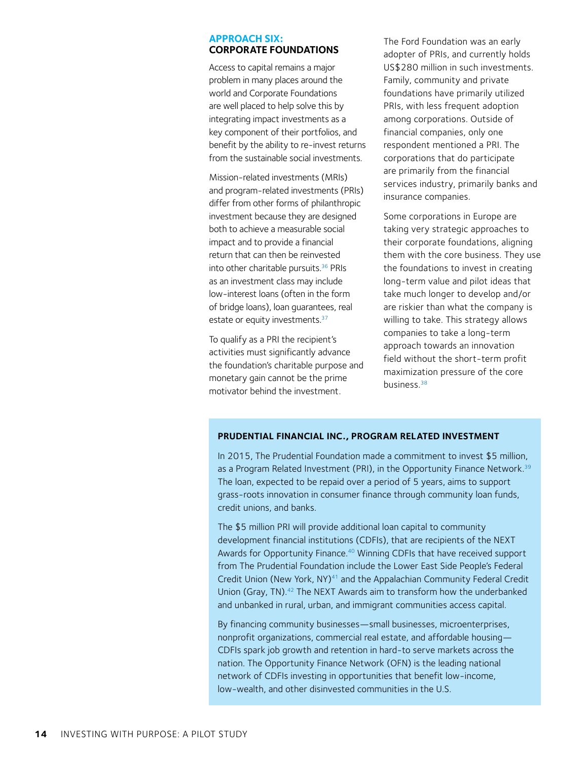#### <span id="page-13-0"></span>**APPROACH SIX: CORPORATE FOUNDATIONS**

Access to capital remains a major problem in many places around the world and Corporate Foundations are well placed to help solve this by integrating impact investments as a key component of their portfolios, and benefit by the ability to re-invest returns from the sustainable social investments.

Mission-related investments (MRIs) and program-related investments (PRIs) differ from other forms of philanthropic investment because they are designed both to achieve a measurable social impact and to provide a financial return that can then be reinvested into other charitable pursuits.[3](#page-21-0)6 PRIs as an investment class may include low-interest loans (often in the form of bridge loans), loan guarantees, real estate or equity investments.<sup>37</sup>

To qualify as a PRI the recipient's activities must significantly advance the foundation's charitable purpose and monetary gain cannot be the prime motivator behind the investment.

The Ford Foundation was an early adopter of PRIs, and currently holds US\$280 million in such investments. Family, community and private foundations have primarily utilized PRIs, with less frequent adoption among corporations. Outside of financial companies, only one respondent mentioned a PRI. The corporations that do participate are primarily from the financial services industry, primarily banks and insurance companies.

Some corporations in Europe are taking very strategic approaches to their corporate foundations, aligning them with the core business. They use the foundations to invest in creating long-term value and pilot ideas that take much longer to develop and/or are riskier than what the company is willing to take. This strategy allows companies to take a long-term approach towards an innovation field without the short-term profit maximization pressure of the core business.[38](#page-21-0)

#### **PRUDENTIAL FINANCIAL INC., PROGRAM RELATED INVESTMENT**

In 2015, The Prudential Foundation made a commitment to invest \$5 million, as a Program Related Investment (PRI), in the Opportunity Finance Network.<sup>39</sup> The loan, expected to be repaid over a period of 5 years, aims to support grass-roots innovation in consumer finance through community loan funds, credit unions, and banks.

The \$5 million PRI will provide additional loan capital to community development financial institutions (CDFIs), that are recipients of the NEXT Awards for Opportunity Finance.<sup>40</sup> Winning CDFIs that have received support from The Prudential Foundation include the Lower East Side People's Federal Credit Union (New York, NY)<sup>41</sup> and the Appalachian Community Federal Credit Union (Gray, TN).<sup>42</sup> The NEXT Awards aim to transform how the underbanked and unbanked in rural, urban, and immigrant communities access capital.

By financing community businesses—small businesses, microenterprises, nonprofit organizations, commercial real estate, and affordable housing— CDFIs spark job growth and retention in hard-to serve markets across the nation. The Opportunity Finance Network (OFN) is the leading national network of CDFIs investing in opportunities that benefit low-income, low-wealth, and other disinvested communities in the U.S.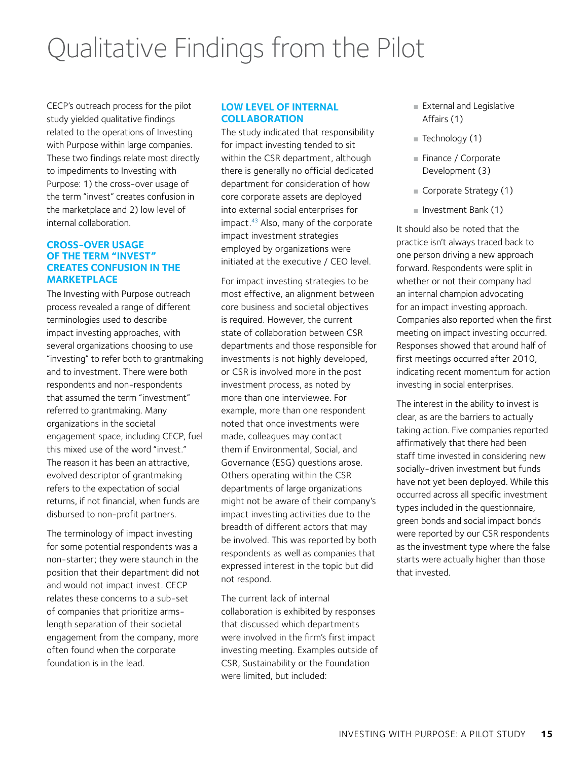### <span id="page-14-0"></span>Qualitative Findings from the Pilot

CECP's outreach process for the pilot study yielded qualitative findings related to the operations of Investing with Purpose within large companies. These two findings relate most directly to impediments to Investing with Purpose: 1) the cross-over usage of the term "invest" creates confusion in the marketplace and 2) low level of internal collaboration.

#### **CROSS-OVER USAGE OF THE TERM "INVEST" CREATES CONFUSION IN THE MARKETPLACE**

The Investing with Purpose outreach process revealed a range of different terminologies used to describe impact investing approaches, with several organizations choosing to use "investing" to refer both to grantmaking and to investment. There were both respondents and non-respondents that assumed the term "investment" referred to grantmaking. Many organizations in the societal engagement space, including CECP, fuel this mixed use of the word "invest." The reason it has been an attractive, evolved descriptor of grantmaking refers to the expectation of social returns, if not financial, when funds are disbursed to non-profit partners.

The terminology of impact investing for some potential respondents was a non-starter; they were staunch in the position that their department did not and would not impact invest. CECP relates these concerns to a sub-set of companies that prioritize armslength separation of their societal engagement from the company, more often found when the corporate foundation is in the lead.

#### **LOW LEVEL OF INTERNAL COLLABORATION**

The study indicated that responsibility for impact investing tended to sit within the CSR department, although there is generally no official dedicated department for consideration of how core corporate assets are deployed into external social enterprises for impact.43 Also, many of the corporate impact investment strategies employed by organizations were initiated at the executive / CEO level.

For impact investing strategies to be most effective, an alignment between core business and societal objectives is required. However, the current state of collaboration between CSR departments and those responsible for investments is not highly developed, or CSR is involved more in the post investment process, as noted by more than one interviewee. For example, more than one respondent noted that once investments were made, colleagues may contact them if Environmental, Social, and Governance (ESG) questions arose. Others operating within the CSR departments of large organizations might not be aware of their company's impact investing activities due to the breadth of different actors that may be involved. This was reported by both respondents as well as companies that expressed interest in the topic but did not respond.

The current lack of internal collaboration is exhibited by responses that discussed which departments were involved in the firm's first impact investing meeting. Examples outside of CSR, Sustainability or the Foundation were limited, but included:

- External and Legislative Affairs (1)
- $\blacksquare$  Technology (1)
- Finance / Corporate Development (3)
- Corporate Strategy (1)
- Investment Bank (1)

It should also be noted that the practice isn't always traced back to one person driving a new approach forward. Respondents were split in whether or not their company had an internal champion advocating for an impact investing approach. Companies also reported when the first meeting on impact investing occurred. Responses showed that around half of first meetings occurred after 2010, indicating recent momentum for action investing in social enterprises.

The interest in the ability to invest is clear, as are the barriers to actually taking action. Five companies reported affirmatively that there had been staff time invested in considering new socially-driven investment but funds have not yet been deployed. While this occurred across all specific investment types included in the questionnaire, green bonds and social impact bonds were reported by our CSR respondents as the investment type where the false starts were actually higher than those that invested.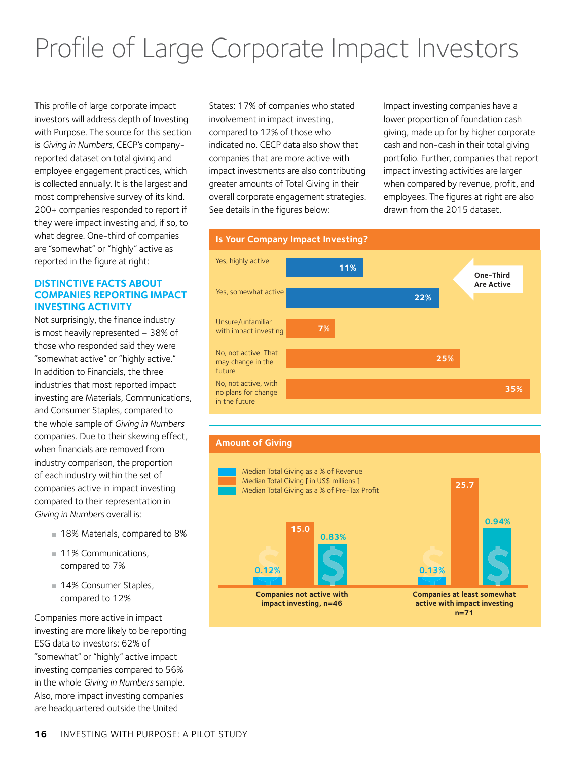## <span id="page-15-0"></span>Profile of Large Corporate Impact Investors

investors will address depth of Investing with Purpose. The source for this section is *Giving in Numbers*, CECP's companyreported dataset on total giving and employee engagement practices, which is collected annually. It is the largest and most comprehensive survey of its kind. 200+ companies responded to report if they were impact investing and, if so, to what degree. One-third of companies are "somewhat" or "highly" active as reported in the figure at right:

#### **DISTINCTIVE FACTS ABOUT COMPANIES REPORTING IMPACT INVESTING ACTIVITY**

Not surprisingly, the finance industry is most heavily represented – 38% of those who responded said they were "somewhat active" or "highly active." In addition to Financials, the three industries that most reported impact investing are Materials, Communications, and Consumer Staples, compared to the whole sample of *Giving in Numbers* companies. Due to their skewing effect, when financials are removed from industry comparison, the proportion of each industry within the set of companies active in impact investing compared to their representation in *Giving in Numbers* overall is:

- 18% Materials, compared to 8%
- 11% Communications, compared to 7%
- 14% Consumer Staples, compared to 12%

Companies more active in impact investing are more likely to be reporting ESG data to investors: 62% of "somewhat" or "highly" active impact investing companies compared to 56% in the whole *Giving in Numbers* sample. Also, more impact investing companies are headquartered outside the United

States: 17% of companies who stated involvement in impact investing, compared to 12% of those who indicated no. CECP data also show that companies that are more active with impact investments are also contributing greater amounts of Total Giving in their overall corporate engagement strategies. See details in the figures below:

Impact investing companies have a lower proportion of foundation cash giving, made up for by higher corporate cash and non-cash in their total giving portfolio. Further, companies that report impact investing activities are larger when compared by revenue, profit, and employees. The figures at right are also drawn from the 2015 dataset.



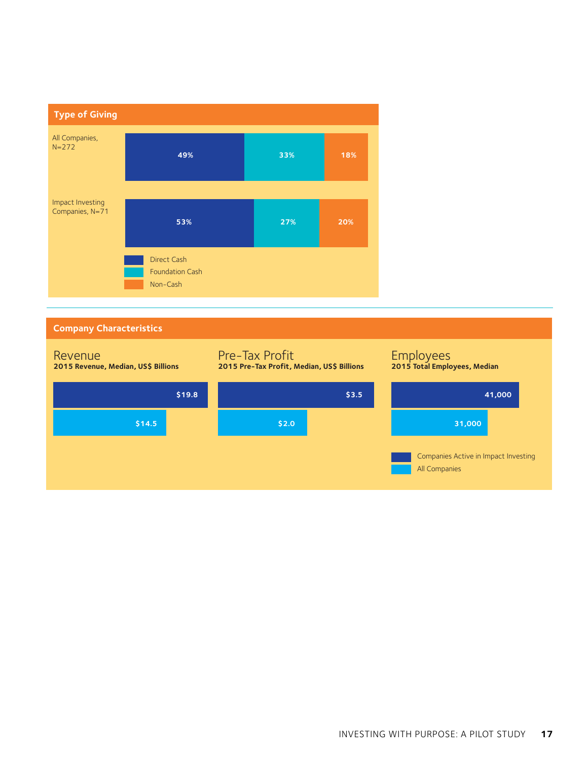

#### **Company Characteristics**

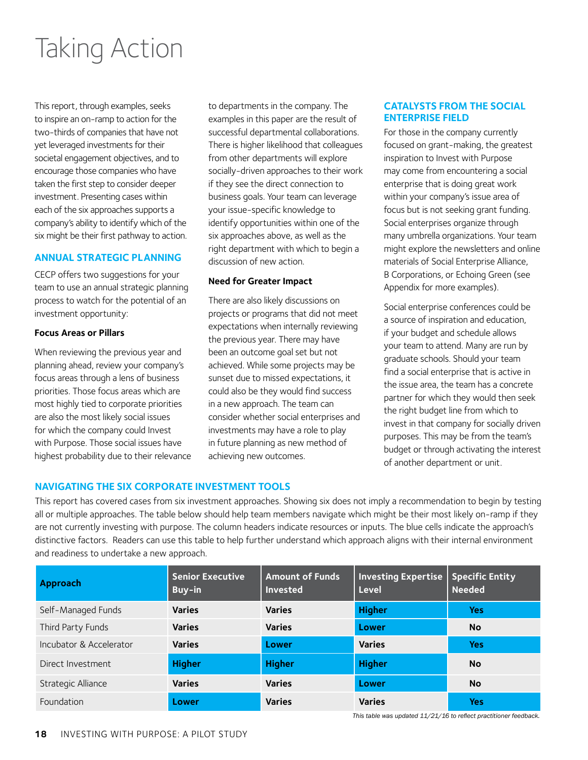### <span id="page-17-0"></span>Taking Action

This report, through examples, seeks to inspire an on-ramp to action for the two-thirds of companies that have not yet leveraged investments for their societal engagement objectives, and to encourage those companies who have taken the first step to consider deeper investment. Presenting cases within each of the six approaches supports a company's ability to identify which of the six might be their first pathway to action.

#### **ANNUAL STRATEGIC PLANNING**

CECP offers two suggestions for your team to use an annual strategic planning process to watch for the potential of an investment opportunity:

#### **Focus Areas or Pillars**

When reviewing the previous year and planning ahead, review your company's focus areas through a lens of business priorities. Those focus areas which are most highly tied to corporate priorities are also the most likely social issues for which the company could Invest with Purpose. Those social issues have highest probability due to their relevance to departments in the company. The examples in this paper are the result of successful departmental collaborations. There is higher likelihood that colleagues from other departments will explore socially-driven approaches to their work if they see the direct connection to business goals. Your team can leverage your issue-specific knowledge to identify opportunities within one of the six approaches above, as well as the right department with which to begin a discussion of new action.

#### **Need for Greater Impact**

There are also likely discussions on projects or programs that did not meet expectations when internally reviewing the previous year. There may have been an outcome goal set but not achieved. While some projects may be sunset due to missed expectations, it could also be they would find success in a new approach. The team can consider whether social enterprises and investments may have a role to play in future planning as new method of achieving new outcomes.

#### **CATALYSTS FROM THE SOCIAL ENTERPRISE FIELD**

For those in the company currently focused on grant-making, the greatest inspiration to Invest with Purpose may come from encountering a social enterprise that is doing great work within your company's issue area of focus but is not seeking grant funding. Social enterprises organize through many umbrella organizations. Your team might explore the newsletters and online materials of Social Enterprise Alliance, B Corporations, or Echoing Green (see Appendix for more examples).

Social enterprise conferences could be a source of inspiration and education, if your budget and schedule allows your team to attend. Many are run by graduate schools. Should your team find a social enterprise that is active in the issue area, the team has a concrete partner for which they would then seek the right budget line from which to invest in that company for socially driven purposes. This may be from the team's budget or through activating the interest of another department or unit.

#### **NAVIGATING THE SIX CORPORATE INVESTMENT TOOLS**

This report has covered cases from six investment approaches. Showing six does not imply a recommendation to begin by testing all or multiple approaches. The table below should help team members navigate which might be their most likely on-ramp if they are not currently investing with purpose. The column headers indicate resources or inputs. The blue cells indicate the approach's distinctive factors. Readers can use this table to help further understand which approach aligns with their internal environment and readiness to undertake a new approach.

| <b>Approach</b>         | <b>Senior Executive</b><br>Buy-in | <b>Amount of Funds</b><br><b>Invested</b> | <b>Investing Expertise</b><br>Level | <b>Specific Entity</b><br><b>Needed</b> |
|-------------------------|-----------------------------------|-------------------------------------------|-------------------------------------|-----------------------------------------|
| Self-Managed Funds      | <b>Varies</b>                     | <b>Varies</b>                             | <b>Higher</b>                       | Yes                                     |
| Third Party Funds       | <b>Varies</b>                     | <b>Varies</b>                             | Lower                               | No                                      |
| Incubator & Accelerator | <b>Varies</b>                     | Lower                                     | <b>Varies</b>                       | Yes                                     |
| Direct Investment       | <b>Higher</b>                     | <b>Higher</b>                             | <b>Higher</b>                       | No                                      |
| Strategic Alliance      | <b>Varies</b>                     | <b>Varies</b>                             | Lower                               | No                                      |
| Foundation              | Lower                             | <b>Varies</b>                             | <b>Varies</b>                       | Yes                                     |

*This table was updated 11/21/16 to reflect practitioner feedback.*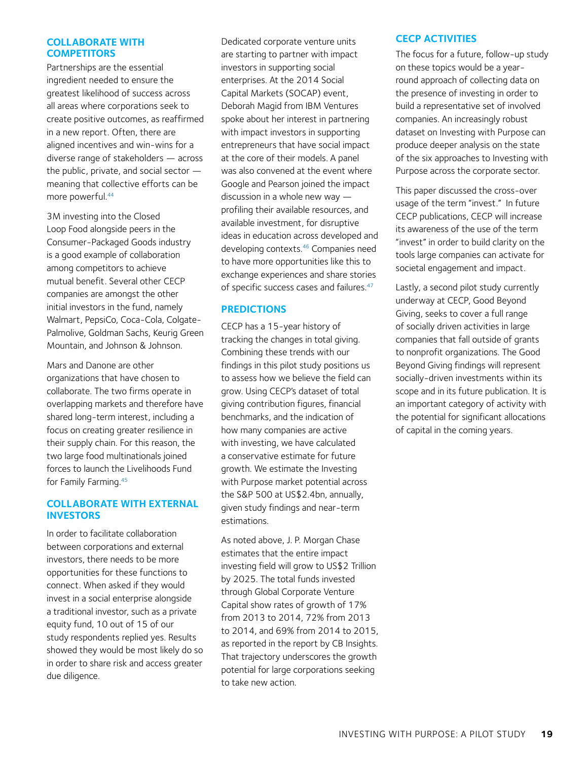#### <span id="page-18-0"></span>**COLLABORATE WITH COMPETITORS**

Partnerships are the essential ingredient needed to ensure the greatest likelihood of success across all areas where corporations seek to create positive outcomes, as reaffirmed in a new report. Often, there are aligned incentives and win-wins for a diverse range of stakeholders — across the public, private, and social sector meaning that collective efforts can be more powerful.44

3M investing into the Closed Loop Food alongside peers in the Consumer-Packaged Goods industry is a good example of collaboration among competitors to achieve mutual benefit. Several other CECP companies are amongst the other initial investors in the fund, namely Walmart, PepsiCo, Coca-Cola, Colgate-Palmolive, Goldman Sachs, Keurig Green Mountain, and Johnson & Johnson.

Mars and Danone are other organizations that have chosen to collaborate. The two firms operate in overlapping markets and therefore have shared long-term interest, including a focus on creating greater resilience in their supply chain. For this reason, the two large food multinationals joined forces to launch the Livelihoods Fund for Family Farming[.45](#page-21-0)

#### **COLLABORATE WITH EXTERNAL INVESTORS**

In order to facilitate collaboration between corporations and external investors, there needs to be more opportunities for these functions to connect. When asked if they would invest in a social enterprise alongside a traditional investor, such as a private equity fund, 10 out of 15 of our study respondents replied yes. Results showed they would be most likely do so in order to share risk and access greater due diligence.

Dedicated corporate venture units are starting to partner with impact investors in supporting social enterprises. At the 2014 Social Capital Markets (SOCAP) event, Deborah Magid from IBM Ventures spoke about her interest in partnering with impact investors in supporting entrepreneurs that have social impact at the core of their models. A panel was also convened at the event where Google and Pearson joined the impact discussion in a whole new way profiling their available resources, and available investment, for disruptive ideas in education across developed and developing contexts[.46](#page-21-0) Companies need to have more opportunities like this to exchange experiences and share stories of specific success cases and failures.<sup>47</sup>

#### **PREDICTIONS**

CECP has a 15-year history of tracking the changes in total giving. Combining these trends with our findings in this pilot study positions us to assess how we believe the field can grow. Using CECP's dataset of total giving contribution figures, financial benchmarks, and the indication of how many companies are active with investing, we have calculated a conservative estimate for future growth. We estimate the Investing with Purpose market potential across the S&P 500 at US\$2.4bn, annually, given study findings and near-term estimations.

As noted above, J. P. Morgan Chase estimates that the entire impact investing field will grow to US\$2 Trillion by 2025. The total funds invested through Global Corporate Venture Capital show rates of growth of 17% from 2013 to 2014, 72% from 2013 to 2014, and 69% from 2014 to 2015, as reported in the report by CB Insights. That trajectory underscores the growth potential for large corporations seeking to take new action.

#### **CECP ACTIVITIES**

The focus for a future, follow-up study on these topics would be a yearround approach of collecting data on the presence of investing in order to build a representative set of involved companies. An increasingly robust dataset on Investing with Purpose can produce deeper analysis on the state of the six approaches to Investing with Purpose across the corporate sector.

This paper discussed the cross-over usage of the term "invest." In future CECP publications, CECP will increase its awareness of the use of the term "invest" in order to build clarity on the tools large companies can activate for societal engagement and impact.

Lastly, a second pilot study currently underway at CECP, Good Beyond Giving, seeks to cover a full range of socially driven activities in large companies that fall outside of grants to nonprofit organizations. The Good Beyond Giving findings will represent socially-driven investments within its scope and in its future publication. It is an important category of activity with the potential for significant allocations of capital in the coming years.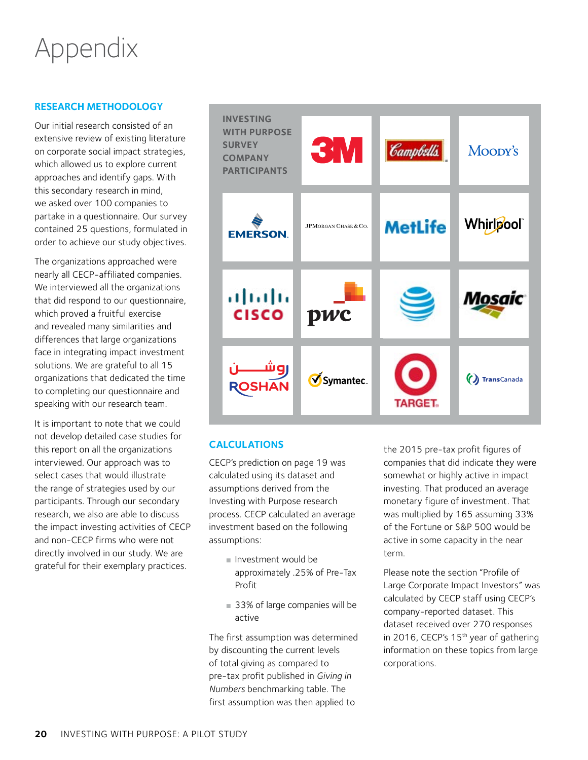## <span id="page-19-0"></span>Appendix

#### **RESEARCH METHODOLOGY**

Our initial research consisted of an extensive review of existing literature on corporate social impact strategies, which allowed us to explore current approaches and identify gaps. With this secondary research in mind, we asked over 100 companies to partake in a questionnaire. Our survey contained 25 questions, formulated in order to achieve our study objectives.

The organizations approached were nearly all CECP-affiliated companies. We interviewed all the organizations that did respond to our questionnaire, which proved a fruitful exercise and revealed many similarities and differences that large organizations face in integrating impact investment solutions. We are grateful to all 15 organizations that dedicated the time to completing our questionnaire and speaking with our research team.

It is important to note that we could not develop detailed case studies for this report on all the organizations interviewed. Our approach was to select cases that would illustrate the range of strategies used by our participants. Through our secondary research, we also are able to discuss the impact investing activities of CECP and non-CECP firms who were not directly involved in our study. We are grateful for their exemplary practices.



#### **CALCULATIONS**

CECP's prediction on [page 19](#page-18-0) was calculated using its dataset and assumptions derived from the Investing with Purpose research process. CECP calculated an average investment based on the following assumptions:

- Investment would be approximately .25% of Pre-Tax Profit
- 33% of large companies will be active

The first assumption was determined by discounting the current levels of total giving as compared to pre-tax profit published in *Giving in Numbers* benchmarking table. The first assumption was then applied to

the 2015 pre-tax profit figures of companies that did indicate they were somewhat or highly active in impact investing. That produced an average monetary figure of investment. That was multiplied by 165 assuming 33% of the Fortune or S&P 500 would be active in some capacity in the near term.

Please note the section "Profile of Large Corporate Impact Investors" was calculated by CECP staff using CECP's company-reported dataset. This dataset received over 270 responses in 2016, CECP's 15<sup>th</sup> year of gathering information on these topics from large corporations.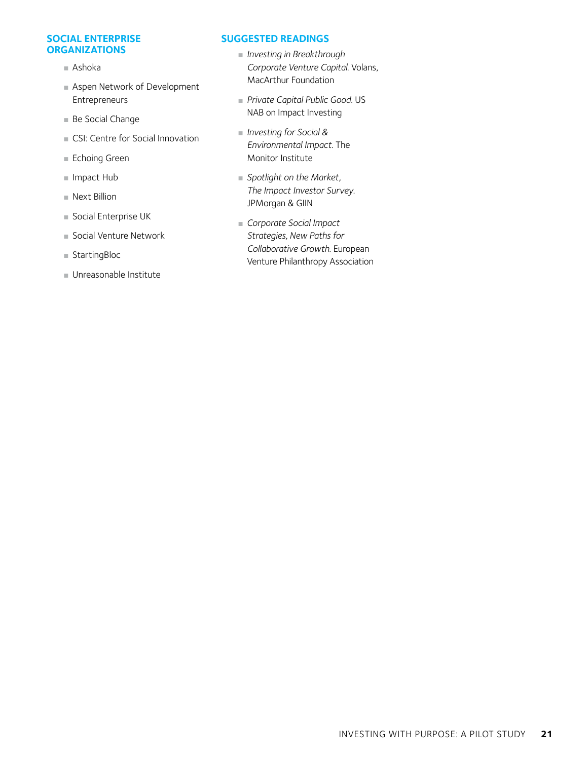#### **SOCIAL ENTERPRISE ORGANIZATIONS**

- Ashoka
- Aspen Network of Development Entrepreneurs
- Be Social Change
- CSI: Centre for Social Innovation
- Echoing Green
- Impact Hub
- Next Billion
- Social Enterprise UK
- Social Venture Network
- StartingBloc
- Unreasonable Institute

#### **SUGGESTED READINGS**

- *Investing in Breakthrough Corporate Venture Capital*. Volans, MacArthur Foundation
- *Private Capital Public Good*. US NAB on Impact Investing
- *Investing for Social & Environmental Impact*. The Monitor Institute
- *Spotlight on the Market*, *The Impact Investor Survey*. JPMorgan & GIIN
- *Corporate Social Impact Strategies, New Paths for Collaborative Growth*. European Venture Philanthropy Association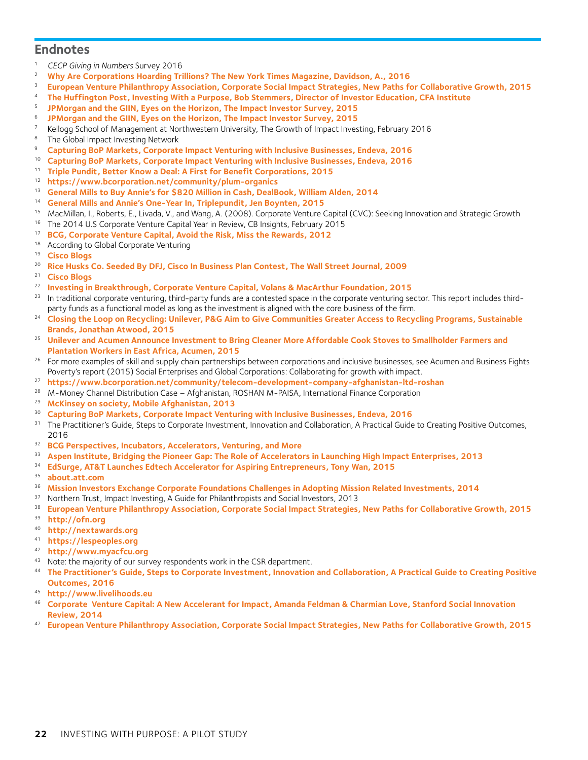#### <span id="page-21-0"></span>**Endnotes**

- *CECP Giving in Numbers* Survey 2016
- **[Why Are Corporations Hoarding Trillions? The New York Times Magazine, Davidson, A., 2016](http://www.nytimes.com/2016/01/24/magazine/why-are-corporations-hoarding-trillions.html?_r=0)**
- **[European Venture Philanthropy Association, Corporate Social Impact Strategies, New Paths for Collaborative Growth, 2015](http://www.lgtvp.com/lgt/files/b2/b2417e1b-27b1-4c3b-84ec-15ac335f782c.pdf)**
- **[The Huffington Post, Investing With a Purpose, Bob Stemmers, Director of Investor Education, CFA Institute](http://www.huffingtonpost.com/bob-stammers/investing-with-a-purpose_b_9821114.html?utm_content=buffer04740&utm_medium=social&utm_source=linkedin.com&utm_campaign=buffer)**
- **[JPMorgan and the GIIN, Eyes on the Horizon, The Impact Investor Survey, 2015](https://www.jpmorgan.com/cm/BlobServer/giin_2015.pdf?blobkey=id&blobwhere=1320674289058&blobheader=application/pdf&blobheadername1=Cache-Control&blobheadervalue1=private&blobcol=urldata&blobtable=MungoBlobs)**
- **[JPMorgan and the GIIN, Eyes on the Horizon, The Impact Investor Survey, 2015](https://www.jpmorgan.com/cm/BlobServer/giin_2015.pdf?blobkey=id&blobwhere=1320674289058&blobheader=application/pdf&blobheadername1=Cache-Control&blobheadervalue1=private&blobcol=urldata&blobtable=MungoBlobs)**
- <sup>7</sup> Kellogg School of Management at Northwestern University, The Growth of Impact Investing, February 2016
- 8 The Global Impact Investing Network
- **[Capturing BoP Markets, Corporate Impact Venturing with Inclusive Businesses, Endeva, 2016](http://www.endeva.org/publication/corporateimpactventuring)**
- **[Capturing BoP Markets, Corporate Impact Venturing with Inclusive Businesses, Endeva, 2016](http://www.endeva.org/publication/corporateimpactventuring)**
- **[Triple Pundit, Better Know a Deal: A First for Benefit Corporations, 2015](http://www.triplepundit.com/2015/08/better-know-deal-first-benefit-corporations/)**
- **<https://www.bcorporation.net/community/plum-organics>**
- **[General Mills to Buy Annie's for \\$820 Million in Cash, DealBook, William Alden, 2014](http://dealbook.nytimes.com/2014/09/08/general-mills-to-buy-annies-for-820-million-in-cash/)**
- **[General Mills and Annie's One-Year In, Triplepundit, Jen Boynten, 2015](http://www.triplepundit.com/2015/11/general-mills-and-annies-one-year-in/)**
- MacMillan, I., Roberts, E., Livada, V., and Wang, A. (2008). Corporate Venture Capital (CVC): Seeking Innovation and Strategic Growth
- <sup>16</sup> The 2014 U.S Corporate Venture Capital Year in Review, CB Insights, February 2015
- **[BCG, Corporate Venture Capital, Avoid the Risk, Miss the Rewards, 2012](https://www.bcgperspectives.com/content/articles/innovation_growth_mergers_acquisitions_corporate_venture_capital/?chapter=3)**
- According to Global Corporate Venturing 19 **[Cisco Blogs](http://blogs.cisco.com/news/husk_power_systems_wins_cisco-dfj_global_business_plan_competition)**
- 
- **[Rice Husks Co. Seeded By DFJ, Cisco In Business Plan Contest, The Wall Street Journal, 2009](http://blogs.wsj.com/venturecapital/2009/07/01/rice-husks-company-snags-seed-from-dfj-cisco/)**
- **[Cisco Blogs](http://blogs.cisco.com/news/husk_power_systems_wins_cisco-dfj_global_business_plan_competition)**
- **[Investing in Breakthrough, Corporate Venture Capital, Volans & MacArthur Foundation, 2015](http://breakthroughcapitalism.com/files/volans-investing-breakthrough-report.pdf)**
- <sup>23</sup> In traditional corporate venturing, third-party funds are a contested space in the corporate venturing sector. This report includes thirdparty funds as a functional model as long as the investment is aligned with the core business of the firm.<br><sup>24</sup> Closing the Loop on Recycling: Unilever, P&G Aim to Give Communities Greater Access to Recycling Programs, Sus
- **[Brands, Jonathan Atwood, 2015](http://www.sustainablebrands.com/news_and_views/packaging/jonathan_atwood/closing_loop_recycling_unilever_pg_aim_give_communities_gre)**
- **[Unilever and Acumen Announce Investment to Bring Cleaner More Affordable Cook Stoves to Smallholder Farmers and](http://acumen.org/blog/press-releases/unilever-and-acumen-announce-investment-to-bring-cleaner-more-affordable-cook-stoves-to-smallholder-farmers-and-plantation-workers-in-east-africa/)  [Plantation Workers in East Africa, Acumen, 2015](http://acumen.org/blog/press-releases/unilever-and-acumen-announce-investment-to-bring-cleaner-more-affordable-cook-stoves-to-smallholder-farmers-and-plantation-workers-in-east-africa/)**
- <sup>26</sup> For more examples of skill and supply chain partnerships between corporations and inclusive businesses, see Acumen and Business Fights Poverty's report (2015) Social Enterprises and Global Corporations: Collaborating for growth with impact.
- **<https://www.bcorporation.net/community/telecom-development-company-afghanistan-ltd-roshan>**
- <sup>28</sup> M-Money Channel Distribution Case Afghanistan, ROSHAN M-PAISA, International Finance Corporation
- **[McKinsey on society, Mobile Afghanistan, 2013](http://voices.mckinseyonsociety.com/mobile-afghanistan/)**
- **[Capturing BoP Markets, Corporate Impact Venturing with Inclusive Businesses, Endeva, 2016](http://www.endeva.org/publication/corporateimpactventuring)**
- <sup>31</sup> The Practitioner's Guide, Steps to Corporate Investment, Innovation and Collaboration, A Practical Guide to Creating Positive Outcomes,
- **[BCG Perspectives, Incubators, Accelerators, Venturing, and More](https://www.bcgperspectives.com/content/articles/mergers_acquisitions_growth_incubators_accelerators_venturing_more_leading_companies_search_next_big_thing/?chapter=3)**
- **[Aspen Institute, Bridging the Pioneer Gap: The Role of Accelerators in Launching High Impact Enterprises, 2013](http://www.aspeninstitute.org/sites/default/files/content/docs/ande/Bridging the Pioneer Gap The Role of Accelerators in Launching High Impact Enterprises .pdf)**
- **[EdSurge, AT&T Launches Edtech Accelerator for Aspiring Entrepreneurs, Tony Wan, 2015](https://www.edsurge.com/news/2015-01-22-at-t-launches-edtech-accelerator-for-aspiring-entrepreneurs)**
- **[about.att.com](http://about.att.com/content/csr/home/possibilities/at-t-aspire/mobilizing-learning/accelerator/faq.html)**
- **[Mission Investors Exchange Corporate Foundations Challenges in Adopting Mission Related Investments, 2014](https://www.missioninvestors.org/tools/corporate-foundations-challenges-in-adopting-mission-investing)**
- <sup>37</sup> Northern Trust, Impact Investing, A Guide for Philanthropists and Social Investors, 2013
- **[European Venture Philanthropy Association, Corporate Social Impact Strategies, New Paths for Collaborative Growth, 2015](http://www.lgtvp.com/lgt/files/b2/b2417e1b-27b1-4c3b-84ec-15ac335f782c.pdf)**
- **[http://ofn.org](http://ofn.org/)**
- **<http://nextawards.org>**
- **<https://lespeoples.org>**
- **<http://www.myacfcu.org>**
- <sup>43</sup> Note: the majority of our survey respondents work in the CSR department.
- **[The Practitioner's Guide, Steps to Corporate Investment, Innovation and Collaboration, A Practical Guide to Creating Positive](http://mifftp.iadb.org/website/publications/60190f05-38fa-40e2-b4ec-38e15ebab2b7.pdf)  [Outcomes, 2016](http://mifftp.iadb.org/website/publications/60190f05-38fa-40e2-b4ec-38e15ebab2b7.pdf)**
- **[http://www.livelihoods.eu](http://www.livelihoods.eu/)**
- **[Corporate Venture Capital: A New Accelerant for Impact, Amanda Feldman & Charmian Love, Stanford Social Innovation](http://ssir.org/articles/entry/corporate_venture_capital_a_new_accelerant_for_impact)  [Review, 2014](http://ssir.org/articles/entry/corporate_venture_capital_a_new_accelerant_for_impact)**
- **[European Venture Philanthropy Association, Corporate Social Impact Strategies, New Paths for Collaborative Growth, 2015](http://www.lgtvp.com/lgt/files/b2/b2417e1b-27b1-4c3b-84ec-15ac335f782c.pdf)**